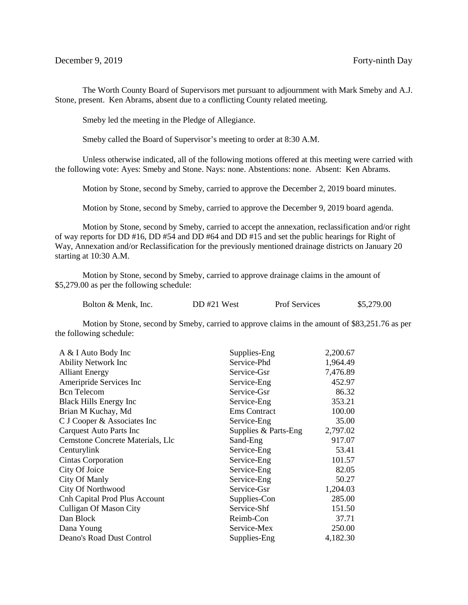The Worth County Board of Supervisors met pursuant to adjournment with Mark Smeby and A.J. Stone, present. Ken Abrams, absent due to a conflicting County related meeting.

Smeby led the meeting in the Pledge of Allegiance.

Smeby called the Board of Supervisor's meeting to order at 8:30 A.M.

Unless otherwise indicated, all of the following motions offered at this meeting were carried with the following vote: Ayes: Smeby and Stone. Nays: none. Abstentions: none. Absent: Ken Abrams.

Motion by Stone, second by Smeby, carried to approve the December 2, 2019 board minutes.

Motion by Stone, second by Smeby, carried to approve the December 9, 2019 board agenda.

Motion by Stone, second by Smeby, carried to accept the annexation, reclassification and/or right of way reports for DD #16, DD #54 and DD #64 and DD #15 and set the public hearings for Right of Way, Annexation and/or Reclassification for the previously mentioned drainage districts on January 20 starting at 10:30 A.M.

Motion by Stone, second by Smeby, carried to approve drainage claims in the amount of \$5,279.00 as per the following schedule:

| Bolton & Menk, Inc. | DD#21 West | <b>Prof Services</b> | \$5,279.00 |
|---------------------|------------|----------------------|------------|
|---------------------|------------|----------------------|------------|

Motion by Stone, second by Smeby, carried to approve claims in the amount of \$83,251.76 as per the following schedule:

| A & I Auto Body Inc              | Supplies-Eng         | 2,200.67 |
|----------------------------------|----------------------|----------|
| <b>Ability Network Inc</b>       | Service-Phd          | 1,964.49 |
| <b>Alliant Energy</b>            | Service-Gsr          | 7,476.89 |
| Ameripride Services Inc          | Service-Eng          | 452.97   |
| <b>Bcn</b> Telecom               | Service-Gsr          | 86.32    |
| <b>Black Hills Energy Inc.</b>   | Service-Eng          | 353.21   |
| Brian M Kuchay, Md               | <b>Ems</b> Contract  | 100.00   |
| C J Cooper & Associates Inc      | Service-Eng          | 35.00    |
| <b>Carquest Auto Parts Inc</b>   | Supplies & Parts-Eng | 2,797.02 |
| Cemstone Concrete Materials, Llc | Sand-Eng             | 917.07   |
| Centurylink                      | Service-Eng          | 53.41    |
| Cintas Corporation               | Service-Eng          | 101.57   |
| City Of Joice                    | Service-Eng          | 82.05    |
| City Of Manly                    | Service-Eng          | 50.27    |
| City Of Northwood                | Service-Gsr          | 1,204.03 |
| Cnh Capital Prod Plus Account    | Supplies-Con         | 285.00   |
| Culligan Of Mason City           | Service-Shf          | 151.50   |
| Dan Block                        | Reimb-Con            | 37.71    |
| Dana Young                       | Service-Mex          | 250.00   |
| Deano's Road Dust Control        | Supplies-Eng         | 4,182.30 |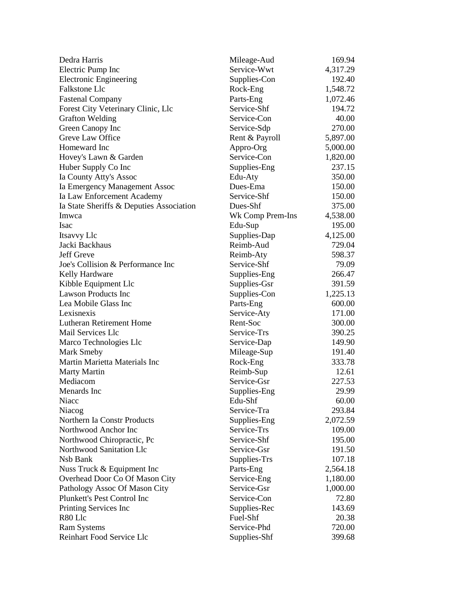| Dedra Harris                             | Mileage-Aud      | 169.94   |
|------------------------------------------|------------------|----------|
| Electric Pump Inc                        | Service-Wwt      | 4,317.29 |
| <b>Electronic Engineering</b>            | Supplies-Con     | 192.40   |
| <b>Falkstone Llc</b>                     | Rock-Eng         | 1,548.72 |
| <b>Fastenal Company</b>                  | Parts-Eng        | 1,072.46 |
| Forest City Veterinary Clinic, Llc       | Service-Shf      | 194.72   |
| <b>Grafton Welding</b>                   | Service-Con      | 40.00    |
| Green Canopy Inc                         | Service-Sdp      | 270.00   |
| Greve Law Office                         | Rent & Payroll   | 5,897.00 |
| Homeward Inc                             | Appro-Org        | 5,000.00 |
| Hovey's Lawn & Garden                    | Service-Con      | 1,820.00 |
| Huber Supply Co Inc                      | Supplies-Eng     | 237.15   |
| Ia County Atty's Assoc                   | Edu-Aty          | 350.00   |
| Ia Emergency Management Assoc            | Dues-Ema         | 150.00   |
| Ia Law Enforcement Academy               | Service-Shf      | 150.00   |
| Ia State Sheriffs & Deputies Association | Dues-Shf         | 375.00   |
| Imwca                                    | Wk Comp Prem-Ins | 4,538.00 |
| Isac                                     | Edu-Sup          | 195.00   |
| Itsavvy Llc                              | Supplies-Dap     | 4,125.00 |
| Jacki Backhaus                           | Reimb-Aud        | 729.04   |
| Jeff Greve                               | Reimb-Aty        | 598.37   |
| Joe's Collision & Performance Inc        | Service-Shf      | 79.09    |
| Kelly Hardware                           | Supplies-Eng     | 266.47   |
| Kibble Equipment Llc                     | Supplies-Gsr     | 391.59   |
| <b>Lawson Products Inc</b>               | Supplies-Con     | 1,225.13 |
| Lea Mobile Glass Inc                     | Parts-Eng        | 600.00   |
| Lexisnexis                               | Service-Aty      | 171.00   |
| <b>Lutheran Retirement Home</b>          | Rent-Soc         | 300.00   |
| Mail Services Llc                        | Service-Trs      | 390.25   |
| Marco Technologies Llc                   | Service-Dap      | 149.90   |
| Mark Smeby                               | Mileage-Sup      | 191.40   |
| Martin Marietta Materials Inc            | Rock-Eng         | 333.78   |
| Marty Martin                             | Reimb-Sup        | 12.61    |
| Mediacom                                 | Service-Gsr      | 227.53   |
| Menards Inc                              | Supplies-Eng     | 29.99    |
| Niacc                                    | Edu-Shf          | 60.00    |
| Niacog                                   | Service-Tra      | 293.84   |
| Northern Ia Constr Products              | Supplies-Eng     | 2,072.59 |
| Northwood Anchor Inc                     | Service-Trs      | 109.00   |
| Northwood Chiropractic, Pc               | Service-Shf      | 195.00   |
| Northwood Sanitation Llc                 | Service-Gsr      | 191.50   |
| Nsb Bank                                 | Supplies-Trs     | 107.18   |
| Nuss Truck & Equipment Inc               | Parts-Eng        | 2,564.18 |
| Overhead Door Co Of Mason City           | Service-Eng      | 1,180.00 |
| Pathology Assoc Of Mason City            | Service-Gsr      | 1,000.00 |
| Plunkett's Pest Control Inc              | Service-Con      | 72.80    |
| Printing Services Inc                    | Supplies-Rec     | 143.69   |
| R80 Llc                                  | Fuel-Shf         | 20.38    |
| <b>Ram Systems</b>                       | Service-Phd      | 720.00   |
| Reinhart Food Service Llc                | Supplies-Shf     | 399.68   |